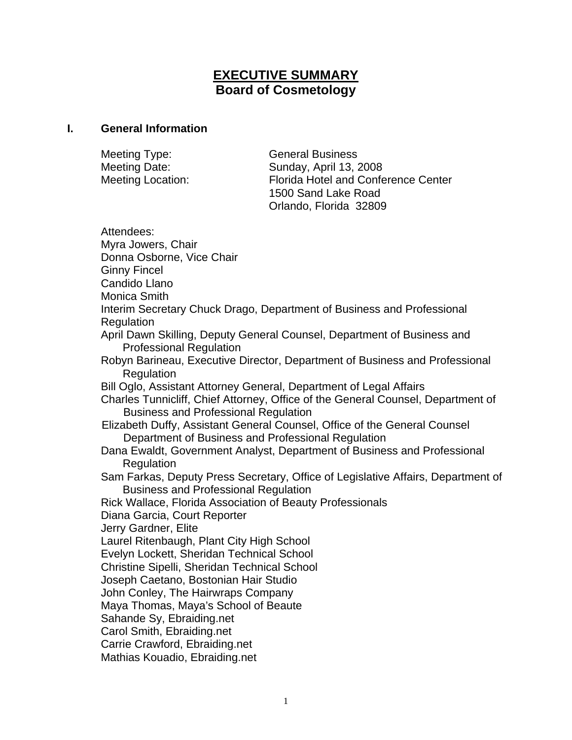# **EXECUTIVE SUMMARY Board of Cosmetology**

#### **I. General Information**

Meeting Type: General Business

Meeting Date: Sunday, April 13, 2008 Meeting Location: Florida Hotel and Conference Center 1500 Sand Lake Road Orlando, Florida 32809

Attendees: Myra Jowers, Chair Donna Osborne, Vice Chair Ginny Fincel Candido Llano Monica Smith Interim Secretary Chuck Drago, Department of Business and Professional Regulation April Dawn Skilling, Deputy General Counsel, Department of Business and Professional Regulation Robyn Barineau, Executive Director, Department of Business and Professional Regulation Bill Oglo, Assistant Attorney General, Department of Legal Affairs Charles Tunnicliff, Chief Attorney, Office of the General Counsel, Department of Business and Professional Regulation Elizabeth Duffy, Assistant General Counsel, Office of the General Counsel Department of Business and Professional Regulation Dana Ewaldt, Government Analyst, Department of Business and Professional **Regulation** Sam Farkas, Deputy Press Secretary, Office of Legislative Affairs, Department of Business and Professional Regulation Rick Wallace, Florida Association of Beauty Professionals Diana Garcia, Court Reporter Jerry Gardner, Elite Laurel Ritenbaugh, Plant City High School Evelyn Lockett, Sheridan Technical School Christine Sipelli, Sheridan Technical School Joseph Caetano, Bostonian Hair Studio John Conley, The Hairwraps Company Maya Thomas, Maya's School of Beaute Sahande Sy, Ebraiding.net Carol Smith, Ebraiding.net Carrie Crawford, Ebraiding.net Mathias Kouadio, Ebraiding.net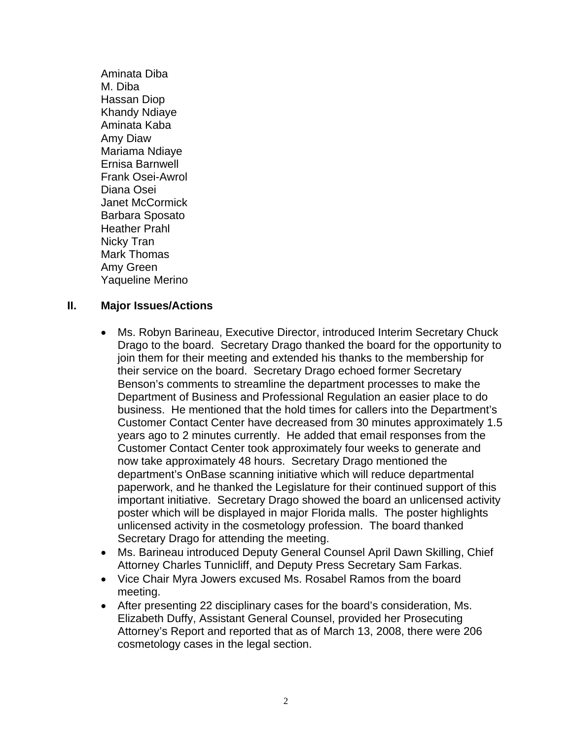Aminata Diba M. Diba Hassan Diop Khandy Ndiaye Aminata Kaba Amy Diaw Mariama Ndiaye Ernisa Barnwell Frank Osei-Awrol Diana Osei Janet McCormick Barbara Sposato Heather Prahl Nicky Tran Mark Thomas Amy Green Yaqueline Merino

### **II. Major Issues/Actions**

- Ms. Robyn Barineau, Executive Director, introduced Interim Secretary Chuck Drago to the board. Secretary Drago thanked the board for the opportunity to join them for their meeting and extended his thanks to the membership for their service on the board. Secretary Drago echoed former Secretary Benson's comments to streamline the department processes to make the Department of Business and Professional Regulation an easier place to do business. He mentioned that the hold times for callers into the Department's Customer Contact Center have decreased from 30 minutes approximately 1.5 years ago to 2 minutes currently. He added that email responses from the Customer Contact Center took approximately four weeks to generate and now take approximately 48 hours. Secretary Drago mentioned the department's OnBase scanning initiative which will reduce departmental paperwork, and he thanked the Legislature for their continued support of this important initiative. Secretary Drago showed the board an unlicensed activity poster which will be displayed in major Florida malls. The poster highlights unlicensed activity in the cosmetology profession. The board thanked Secretary Drago for attending the meeting.
- Ms. Barineau introduced Deputy General Counsel April Dawn Skilling, Chief Attorney Charles Tunnicliff, and Deputy Press Secretary Sam Farkas.
- Vice Chair Myra Jowers excused Ms. Rosabel Ramos from the board meeting.
- After presenting 22 disciplinary cases for the board's consideration, Ms. Elizabeth Duffy, Assistant General Counsel, provided her Prosecuting Attorney's Report and reported that as of March 13, 2008, there were 206 cosmetology cases in the legal section.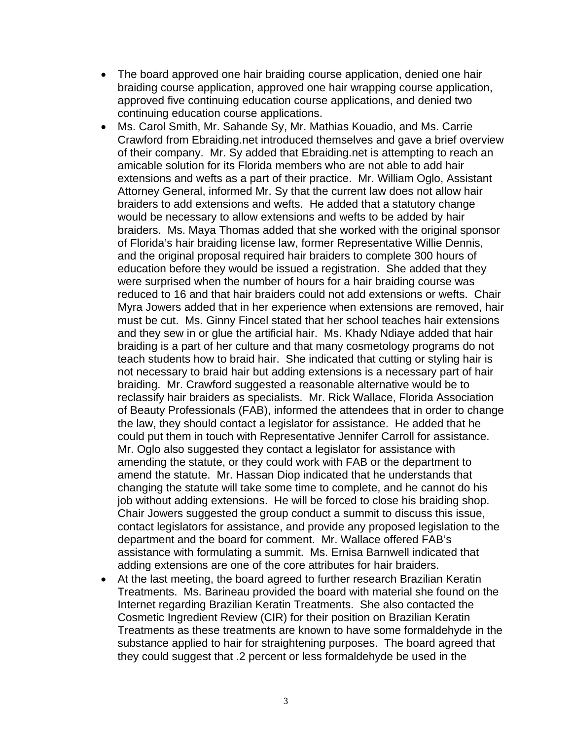- The board approved one hair braiding course application, denied one hair braiding course application, approved one hair wrapping course application, approved five continuing education course applications, and denied two continuing education course applications.
- Ms. Carol Smith, Mr. Sahande Sy, Mr. Mathias Kouadio, and Ms. Carrie Crawford from Ebraiding.net introduced themselves and gave a brief overview of their company. Mr. Sy added that Ebraiding.net is attempting to reach an amicable solution for its Florida members who are not able to add hair extensions and wefts as a part of their practice. Mr. William Oglo, Assistant Attorney General, informed Mr. Sy that the current law does not allow hair braiders to add extensions and wefts. He added that a statutory change would be necessary to allow extensions and wefts to be added by hair braiders. Ms. Maya Thomas added that she worked with the original sponsor of Florida's hair braiding license law, former Representative Willie Dennis, and the original proposal required hair braiders to complete 300 hours of education before they would be issued a registration. She added that they were surprised when the number of hours for a hair braiding course was reduced to 16 and that hair braiders could not add extensions or wefts. Chair Myra Jowers added that in her experience when extensions are removed, hair must be cut. Ms. Ginny Fincel stated that her school teaches hair extensions and they sew in or glue the artificial hair. Ms. Khady Ndiaye added that hair braiding is a part of her culture and that many cosmetology programs do not teach students how to braid hair. She indicated that cutting or styling hair is not necessary to braid hair but adding extensions is a necessary part of hair braiding. Mr. Crawford suggested a reasonable alternative would be to reclassify hair braiders as specialists. Mr. Rick Wallace, Florida Association of Beauty Professionals (FAB), informed the attendees that in order to change the law, they should contact a legislator for assistance. He added that he could put them in touch with Representative Jennifer Carroll for assistance. Mr. Oglo also suggested they contact a legislator for assistance with amending the statute, or they could work with FAB or the department to amend the statute. Mr. Hassan Diop indicated that he understands that changing the statute will take some time to complete, and he cannot do his job without adding extensions. He will be forced to close his braiding shop. Chair Jowers suggested the group conduct a summit to discuss this issue, contact legislators for assistance, and provide any proposed legislation to the department and the board for comment. Mr. Wallace offered FAB's assistance with formulating a summit. Ms. Ernisa Barnwell indicated that adding extensions are one of the core attributes for hair braiders.
- At the last meeting, the board agreed to further research Brazilian Keratin Treatments. Ms. Barineau provided the board with material she found on the Internet regarding Brazilian Keratin Treatments. She also contacted the Cosmetic Ingredient Review (CIR) for their position on Brazilian Keratin Treatments as these treatments are known to have some formaldehyde in the substance applied to hair for straightening purposes. The board agreed that they could suggest that .2 percent or less formaldehyde be used in the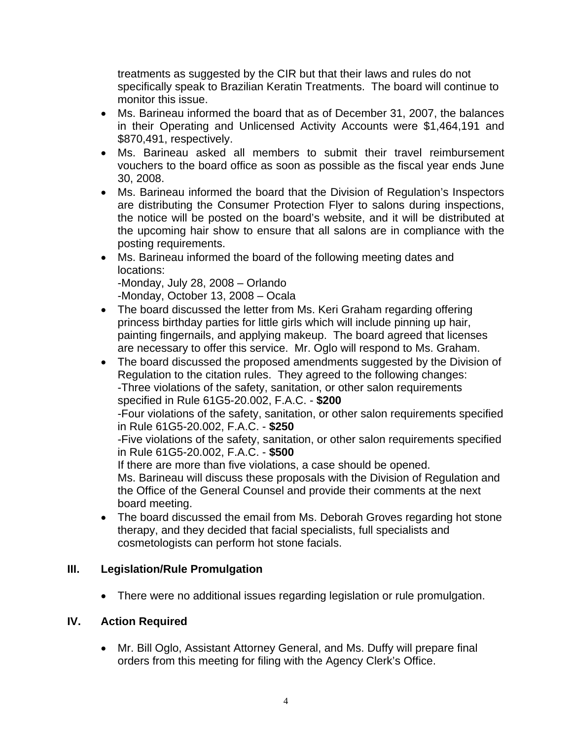treatments as suggested by the CIR but that their laws and rules do not specifically speak to Brazilian Keratin Treatments. The board will continue to monitor this issue.

- Ms. Barineau informed the board that as of December 31, 2007, the balances in their Operating and Unlicensed Activity Accounts were \$1,464,191 and \$870,491, respectively.
- Ms. Barineau asked all members to submit their travel reimbursement vouchers to the board office as soon as possible as the fiscal year ends June 30, 2008.
- Ms. Barineau informed the board that the Division of Regulation's Inspectors are distributing the Consumer Protection Flyer to salons during inspections, the notice will be posted on the board's website, and it will be distributed at the upcoming hair show to ensure that all salons are in compliance with the posting requirements.
- Ms. Barineau informed the board of the following meeting dates and locations:

-Monday, July 28, 2008 – Orlando

-Monday, October 13, 2008 – Ocala

- The board discussed the letter from Ms. Keri Graham regarding offering princess birthday parties for little girls which will include pinning up hair, painting fingernails, and applying makeup. The board agreed that licenses are necessary to offer this service. Mr. Oglo will respond to Ms. Graham.
- The board discussed the proposed amendments suggested by the Division of Regulation to the citation rules. They agreed to the following changes: -Three violations of the safety, sanitation, or other salon requirements specified in Rule 61G5-20.002, F.A.C. - **\$200**  -Four violations of the safety, sanitation, or other salon requirements specified in Rule 61G5-20.002, F.A.C. - **\$250**  -Five violations of the safety, sanitation, or other salon requirements specified in Rule 61G5-20.002, F.A.C. - **\$500**  If there are more than five violations, a case should be opened. Ms. Barineau will discuss these proposals with the Division of Regulation and the Office of the General Counsel and provide their comments at the next board meeting.
- The board discussed the email from Ms. Deborah Groves regarding hot stone therapy, and they decided that facial specialists, full specialists and cosmetologists can perform hot stone facials.

## **III. Legislation/Rule Promulgation**

• There were no additional issues regarding legislation or rule promulgation.

## **IV. Action Required**

• Mr. Bill Oglo, Assistant Attorney General, and Ms. Duffy will prepare final orders from this meeting for filing with the Agency Clerk's Office.